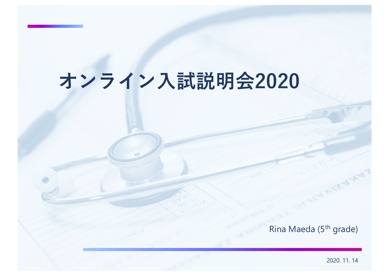# **オンライン⼊試説明会2020**

Rina Maeda (5th grade)

2020. 11. 14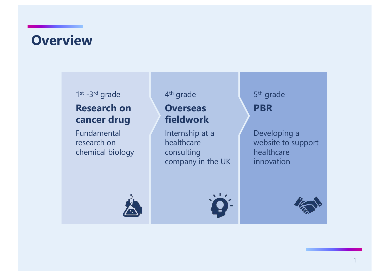## **Overview**

#### 1st -3rd grade

#### **Research on cancer drug**

Fundamental research on chemical biology

#### 4th grade

#### **Overseas fieldwork**

Internship at a healthcare consulting company in the UK



5th grade **PBR**

Developing a website to support healthcare innovation

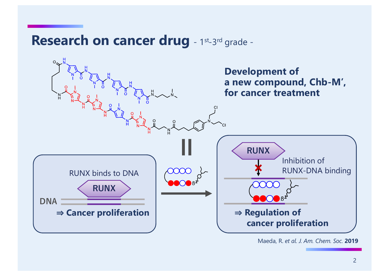### Research on cancer drug - 1st-3rd grade -



#### Maeda, R. *et al. J. Am. Chem. Soc.* **2019**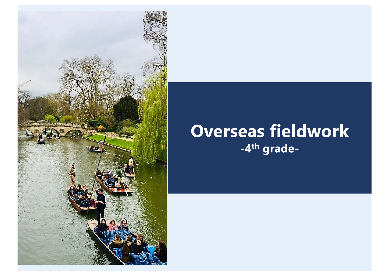

## **Overseas fieldwork -4th grade-**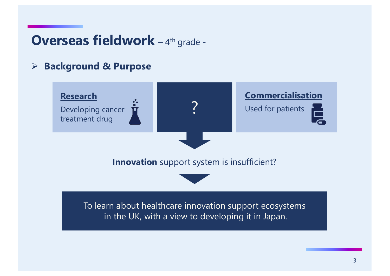### **Overseas fieldwork** - 4th grade -

#### Ø **Background & Purpose**

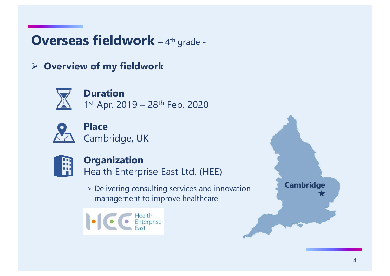## **Overseas fieldwork** - 4th grade -

Ø **Overview of my fieldwork**



**Duration** 1st Apr. 2019 - 28<sup>th</sup> Feb. 2020



**Place** Cambridge, UK



#### **Organization**

Health Enterprise East Ltd. (HEE)

-> Delivering consulting services and innovation management to improve healthcare



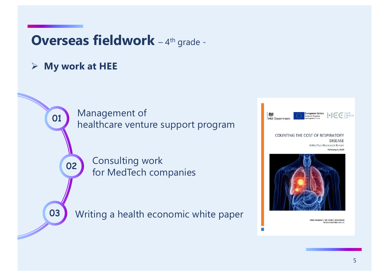### **Overseas fieldwork** - 4th grade -

#### Ø **My work at HEE**

02

01

03

Management of healthcare venture support program

> Consulting work for MedTech companies

Writing a health economic white paper



RINA MAEDA / DR CHRIS WARWICK HEALTH ENTERPRISE EAST LTD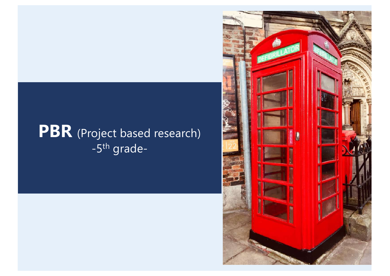## PBR (Project based research) -5th grade-

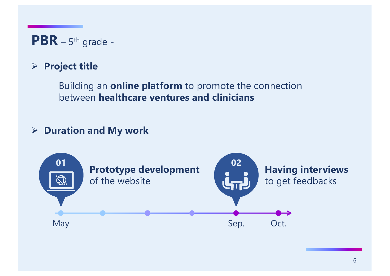**PBR** – 5th grade -

#### Ø **Project title**

Building an **online platform** to promote the connection between **healthcare ventures and clinicians**

#### Ø **Duration and My work**

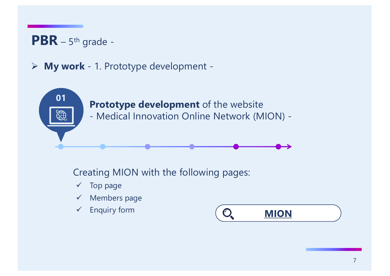## **PBR** – 5th grade -

#### Ø **My work** - 1. Prototype development -



Creating MION with the following pages:

- $\checkmark$  Top page
- $\checkmark$  Members page
- 

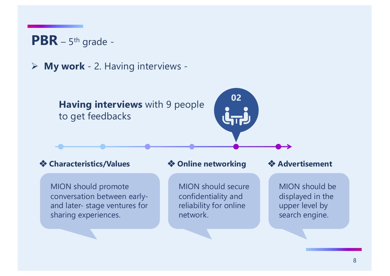

Ø **My work** - 2. Having interviews -

**Having interviews** with 9 people to get feedbacks

#### **❖ Characteristics/Values**

MION should promote conversation between earlyand later- stage ventures for sharing experiences.

#### **❖ Online networking**

MION should secure confidentiality and reliability for online network.

#### **❖ Advertisement**

MION should be displayed in the upper level by search engine.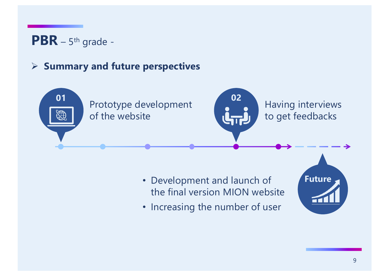## **PBR** – 5th grade -

#### Ø **Summary and future perspectives**



- Development and launch of the final version MION website
- Increasing the number of user

**Future**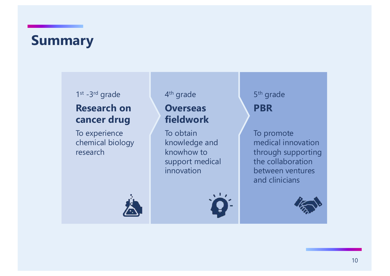## **Summary**

#### 1st -3rd grade

#### **Research on cancer drug**

To experience chemical biology research

#### 4th grade

#### **Overseas fieldwork**

To obtain knowledge and knowhow to support medical innovation





5th grade **PBR**

To promote medical innovation through supporting the collaboration between ventures and clinicians